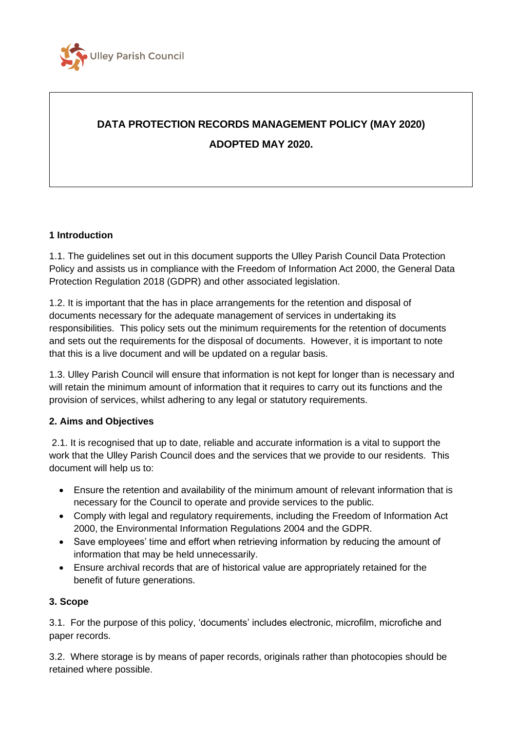

# **DATA PROTECTION RECORDS MANAGEMENT POLICY (MAY 2020) ADOPTED MAY 2020.**

#### **1 Introduction**

1.1. The guidelines set out in this document supports the Ulley Parish Council Data Protection Policy and assists us in compliance with the Freedom of Information Act 2000, the General Data Protection Regulation 2018 (GDPR) and other associated legislation.

1.2. It is important that the has in place arrangements for the retention and disposal of documents necessary for the adequate management of services in undertaking its responsibilities. This policy sets out the minimum requirements for the retention of documents and sets out the requirements for the disposal of documents. However, it is important to note that this is a live document and will be updated on a regular basis.

1.3. Ulley Parish Council will ensure that information is not kept for longer than is necessary and will retain the minimum amount of information that it requires to carry out its functions and the provision of services, whilst adhering to any legal or statutory requirements.

#### **2. Aims and Objectives**

2.1. It is recognised that up to date, reliable and accurate information is a vital to support the work that the Ulley Parish Council does and the services that we provide to our residents. This document will help us to:

- Ensure the retention and availability of the minimum amount of relevant information that is necessary for the Council to operate and provide services to the public.
- Comply with legal and regulatory requirements, including the Freedom of Information Act 2000, the Environmental Information Regulations 2004 and the GDPR.
- Save employees' time and effort when retrieving information by reducing the amount of information that may be held unnecessarily.
- Ensure archival records that are of historical value are appropriately retained for the benefit of future generations.

#### **3. Scope**

3.1. For the purpose of this policy, 'documents' includes electronic, microfilm, microfiche and paper records.

3.2. Where storage is by means of paper records, originals rather than photocopies should be retained where possible.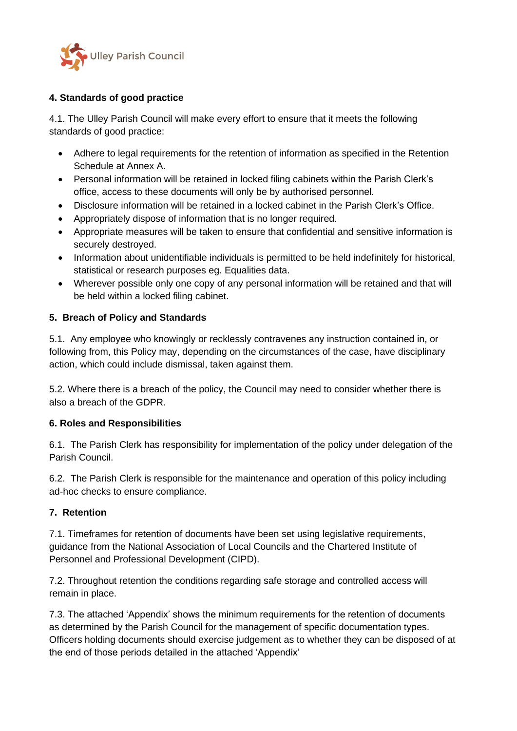

### **4. Standards of good practice**

4.1. The Ulley Parish Council will make every effort to ensure that it meets the following standards of good practice:

- Adhere to legal requirements for the retention of information as specified in the Retention Schedule at Annex A.
- Personal information will be retained in locked filing cabinets within the Parish Clerk's office, access to these documents will only be by authorised personnel.
- Disclosure information will be retained in a locked cabinet in the Parish Clerk's Office.
- Appropriately dispose of information that is no longer required.
- Appropriate measures will be taken to ensure that confidential and sensitive information is securely destroyed.
- Information about unidentifiable individuals is permitted to be held indefinitely for historical, statistical or research purposes eg. Equalities data.
- Wherever possible only one copy of any personal information will be retained and that will be held within a locked filing cabinet.

#### **5. Breach of Policy and Standards**

5.1. Any employee who knowingly or recklessly contravenes any instruction contained in, or following from, this Policy may, depending on the circumstances of the case, have disciplinary action, which could include dismissal, taken against them.

5.2. Where there is a breach of the policy, the Council may need to consider whether there is also a breach of the GDPR.

#### **6. Roles and Responsibilities**

6.1. The Parish Clerk has responsibility for implementation of the policy under delegation of the Parish Council.

6.2. The Parish Clerk is responsible for the maintenance and operation of this policy including ad-hoc checks to ensure compliance.

#### **7. Retention**

7.1. Timeframes for retention of documents have been set using legislative requirements, guidance from the National Association of Local Councils and the Chartered Institute of Personnel and Professional Development (CIPD).

7.2. Throughout retention the conditions regarding safe storage and controlled access will remain in place.

7.3. The attached 'Appendix' shows the minimum requirements for the retention of documents as determined by the Parish Council for the management of specific documentation types. Officers holding documents should exercise judgement as to whether they can be disposed of at the end of those periods detailed in the attached 'Appendix'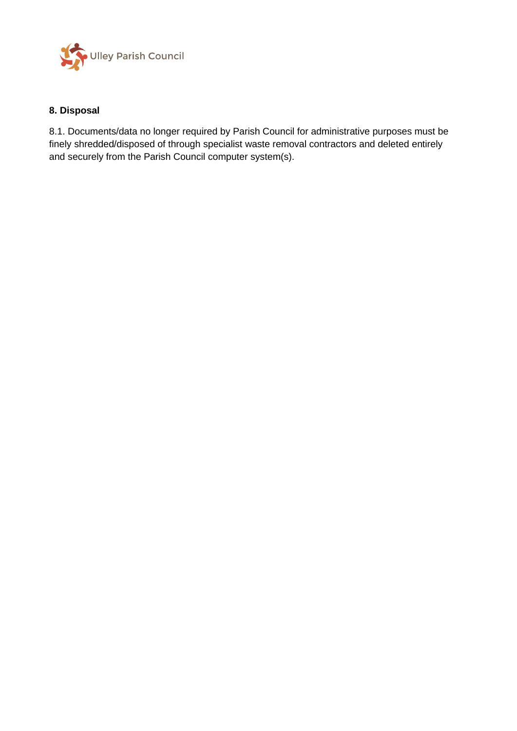

### **8. Disposal**

8.1. Documents/data no longer required by Parish Council for administrative purposes must be finely shredded/disposed of through specialist waste removal contractors and deleted entirely and securely from the Parish Council computer system(s).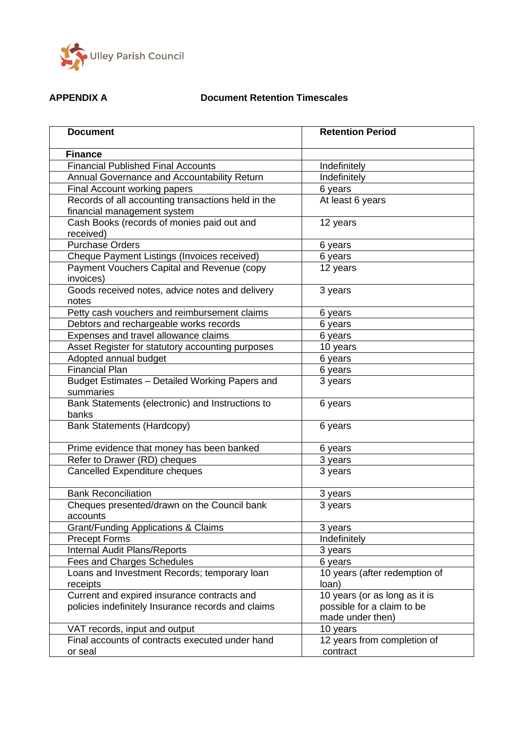

## **APPENDIX A Document Retention Timescales**

| <b>Document</b>                                                                                   | <b>Retention Period</b>                                                         |
|---------------------------------------------------------------------------------------------------|---------------------------------------------------------------------------------|
| <b>Finance</b>                                                                                    |                                                                                 |
| <b>Financial Published Final Accounts</b>                                                         | Indefinitely                                                                    |
| Annual Governance and Accountability Return                                                       | Indefinitely                                                                    |
| Final Account working papers                                                                      | 6 years                                                                         |
| Records of all accounting transactions held in the<br>financial management system                 | At least 6 years                                                                |
| Cash Books (records of monies paid out and<br>received)                                           | 12 years                                                                        |
| <b>Purchase Orders</b>                                                                            | 6 years                                                                         |
| Cheque Payment Listings (Invoices received)                                                       | 6 years                                                                         |
| Payment Vouchers Capital and Revenue (copy<br>invoices)                                           | 12 years                                                                        |
| Goods received notes, advice notes and delivery<br>notes                                          | 3 years                                                                         |
| Petty cash vouchers and reimbursement claims                                                      | 6 years                                                                         |
| Debtors and rechargeable works records                                                            | 6 years                                                                         |
| Expenses and travel allowance claims                                                              | 6 years                                                                         |
| Asset Register for statutory accounting purposes                                                  | 10 years                                                                        |
| Adopted annual budget                                                                             | 6 years                                                                         |
| <b>Financial Plan</b>                                                                             | 6 years                                                                         |
| Budget Estimates - Detailed Working Papers and<br>summaries                                       | 3 years                                                                         |
| Bank Statements (electronic) and Instructions to<br>banks                                         | 6 years                                                                         |
| <b>Bank Statements (Hardcopy)</b>                                                                 | 6 years                                                                         |
| Prime evidence that money has been banked                                                         | 6 years                                                                         |
| Refer to Drawer (RD) cheques                                                                      | 3 years                                                                         |
| <b>Cancelled Expenditure cheques</b>                                                              | 3 years                                                                         |
| <b>Bank Reconciliation</b>                                                                        | 3 years                                                                         |
| Cheques presented/drawn on the Council bank<br>accounts                                           | 3 years                                                                         |
| Grant/Funding Applications & Claims                                                               | 3 years                                                                         |
| <b>Precept Forms</b>                                                                              | Indefinitely                                                                    |
| Internal Audit Plans/Reports                                                                      | 3 years                                                                         |
| <b>Fees and Charges Schedules</b>                                                                 | 6 years                                                                         |
| Loans and Investment Records; temporary loan<br>receipts                                          | 10 years (after redemption of<br>loan)                                          |
| Current and expired insurance contracts and<br>policies indefinitely Insurance records and claims | 10 years (or as long as it is<br>possible for a claim to be<br>made under then) |
| VAT records, input and output                                                                     | 10 years                                                                        |
| Final accounts of contracts executed under hand<br>or seal                                        | 12 years from completion of<br>contract                                         |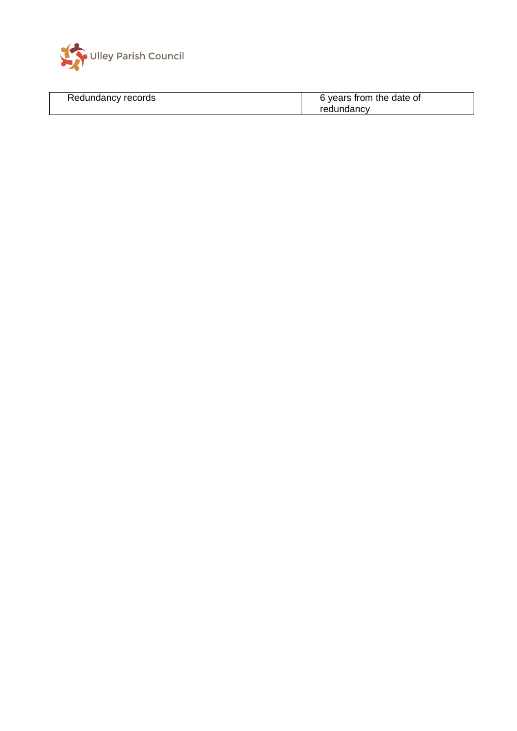

| Redundancy records | 6 years from the date of |
|--------------------|--------------------------|
|                    | redundancy               |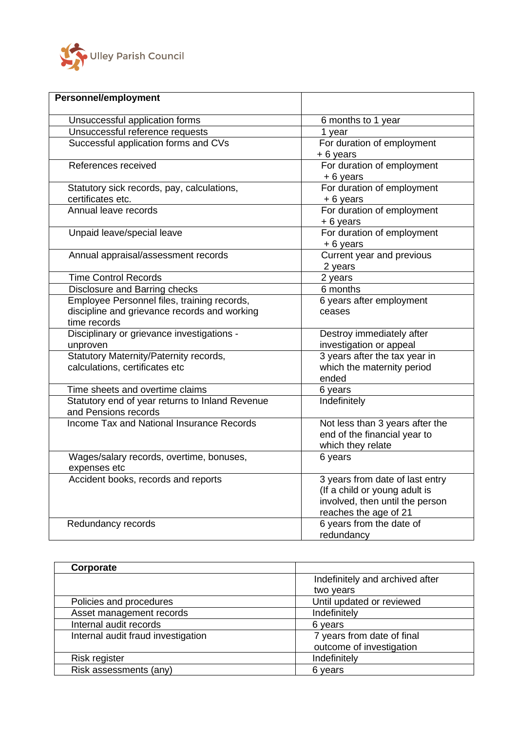

| <b>Personnel/employment</b>                                                                                 |                                                                                                                              |
|-------------------------------------------------------------------------------------------------------------|------------------------------------------------------------------------------------------------------------------------------|
| Unsuccessful application forms                                                                              | 6 months to 1 year                                                                                                           |
| Unsuccessful reference requests                                                                             | 1 year                                                                                                                       |
| Successful application forms and CVs                                                                        | For duration of employment<br>+6 years                                                                                       |
| References received                                                                                         | For duration of employment<br>+ 6 years                                                                                      |
| Statutory sick records, pay, calculations,<br>certificates etc.                                             | For duration of employment<br>+ 6 years                                                                                      |
| Annual leave records                                                                                        | For duration of employment<br>+6 years                                                                                       |
| Unpaid leave/special leave                                                                                  | For duration of employment<br>$+6$ years                                                                                     |
| Annual appraisal/assessment records                                                                         | Current year and previous<br>2 years                                                                                         |
| <b>Time Control Records</b>                                                                                 | 2 years                                                                                                                      |
| Disclosure and Barring checks                                                                               | 6 months                                                                                                                     |
| Employee Personnel files, training records,<br>discipline and grievance records and working<br>time records | 6 years after employment<br>ceases                                                                                           |
| Disciplinary or grievance investigations -<br>unproven                                                      | Destroy immediately after<br>investigation or appeal                                                                         |
| Statutory Maternity/Paternity records,<br>calculations, certificates etc                                    | 3 years after the tax year in<br>which the maternity period<br>ended                                                         |
| Time sheets and overtime claims                                                                             | 6 years                                                                                                                      |
| Statutory end of year returns to Inland Revenue<br>and Pensions records                                     | Indefinitely                                                                                                                 |
| Income Tax and National Insurance Records                                                                   | Not less than 3 years after the<br>end of the financial year to<br>which they relate                                         |
| Wages/salary records, overtime, bonuses,<br>expenses etc                                                    | 6 years                                                                                                                      |
| Accident books, records and reports                                                                         | 3 years from date of last entry<br>(If a child or young adult is<br>involved, then until the person<br>reaches the age of 21 |
| Redundancy records                                                                                          | 6 years from the date of<br>redundancy                                                                                       |

| Corporate                          |                                 |
|------------------------------------|---------------------------------|
|                                    | Indefinitely and archived after |
|                                    | two years                       |
| Policies and procedures            | Until updated or reviewed       |
| Asset management records           | Indefinitely                    |
| Internal audit records             | 6 years                         |
| Internal audit fraud investigation | 7 years from date of final      |
|                                    | outcome of investigation        |
| Risk register                      | Indefinitely                    |
| Risk assessments (any)             | 6 years                         |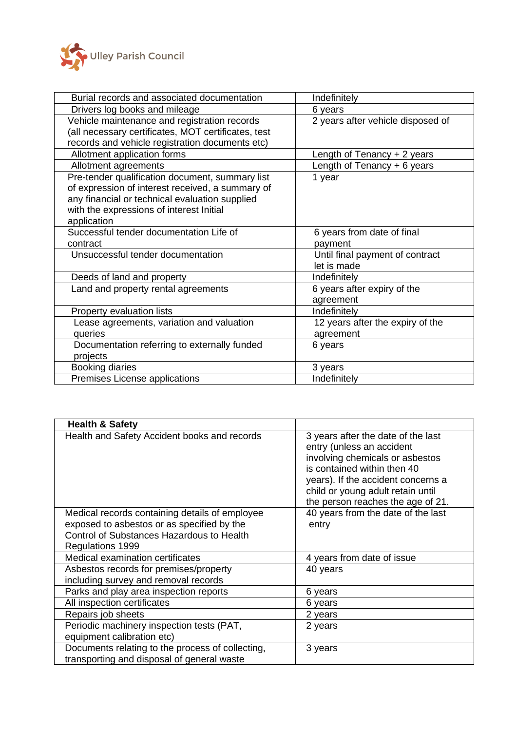

| Burial records and associated documentation         | Indefinitely                      |
|-----------------------------------------------------|-----------------------------------|
| Drivers log books and mileage                       | 6 years                           |
| Vehicle maintenance and registration records        | 2 years after vehicle disposed of |
| (all necessary certificates, MOT certificates, test |                                   |
| records and vehicle registration documents etc)     |                                   |
| Allotment application forms                         | Length of Tenancy + 2 years       |
| Allotment agreements                                | Length of Tenancy + 6 years       |
| Pre-tender qualification document, summary list     | 1 year                            |
| of expression of interest received, a summary of    |                                   |
| any financial or technical evaluation supplied      |                                   |
| with the expressions of interest Initial            |                                   |
| application                                         |                                   |
| Successful tender documentation Life of             | 6 years from date of final        |
| contract                                            | payment                           |
| Unsuccessful tender documentation                   | Until final payment of contract   |
|                                                     | let is made                       |
| Deeds of land and property                          | Indefinitely                      |
| Land and property rental agreements                 | 6 years after expiry of the       |
|                                                     | agreement                         |
| Property evaluation lists                           | Indefinitely                      |
| Lease agreements, variation and valuation           | 12 years after the expiry of the  |
| queries                                             | agreement                         |
| Documentation referring to externally funded        | 6 years                           |
| projects                                            |                                   |
| <b>Booking diaries</b>                              | 3 years                           |
| Premises License applications                       | Indefinitely                      |

| <b>Health &amp; Safety</b>                                                                                                                                    |                                                                                                                                                                                                                                                   |
|---------------------------------------------------------------------------------------------------------------------------------------------------------------|---------------------------------------------------------------------------------------------------------------------------------------------------------------------------------------------------------------------------------------------------|
| Health and Safety Accident books and records                                                                                                                  | 3 years after the date of the last<br>entry (unless an accident<br>involving chemicals or asbestos<br>is contained within then 40<br>years). If the accident concerns a<br>child or young adult retain until<br>the person reaches the age of 21. |
| Medical records containing details of employee<br>exposed to asbestos or as specified by the<br>Control of Substances Hazardous to Health<br>Regulations 1999 | 40 years from the date of the last<br>entry                                                                                                                                                                                                       |
| Medical examination certificates                                                                                                                              | 4 years from date of issue                                                                                                                                                                                                                        |
| Asbestos records for premises/property<br>including survey and removal records                                                                                | 40 years                                                                                                                                                                                                                                          |
| Parks and play area inspection reports                                                                                                                        | 6 years                                                                                                                                                                                                                                           |
| All inspection certificates                                                                                                                                   | 6 years                                                                                                                                                                                                                                           |
| Repairs job sheets                                                                                                                                            | 2 years                                                                                                                                                                                                                                           |
| Periodic machinery inspection tests (PAT,<br>equipment calibration etc)                                                                                       | 2 years                                                                                                                                                                                                                                           |
| Documents relating to the process of collecting,<br>transporting and disposal of general waste                                                                | 3 years                                                                                                                                                                                                                                           |